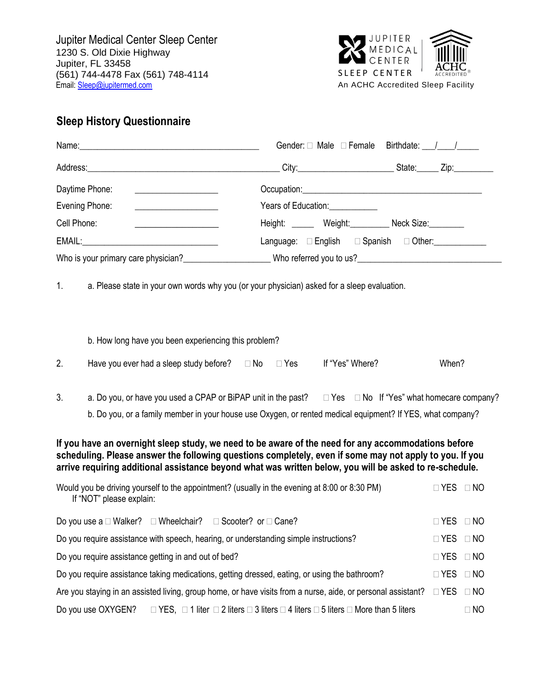

# **Sleep History Questionnaire**

|                                                                                                                                                                                                                      | Gender: Male Female Birthdate: / /                                                                                                                                                                                                     |                      |           |
|----------------------------------------------------------------------------------------------------------------------------------------------------------------------------------------------------------------------|----------------------------------------------------------------------------------------------------------------------------------------------------------------------------------------------------------------------------------------|----------------------|-----------|
|                                                                                                                                                                                                                      |                                                                                                                                                                                                                                        |                      |           |
| Daytime Phone:<br><u> 1989 - Johann Barbara, martin a</u>                                                                                                                                                            |                                                                                                                                                                                                                                        |                      |           |
| Evening Phone:<br><u> 1989 - Johann Barbara, martin amerikan basal da</u>                                                                                                                                            |                                                                                                                                                                                                                                        |                      |           |
| Cell Phone:                                                                                                                                                                                                          | Height: _______ Weight: _________ Neck Size: ________                                                                                                                                                                                  |                      |           |
|                                                                                                                                                                                                                      | Language: English E Spanish D Other:                                                                                                                                                                                                   |                      |           |
| Who is your primary care physician?<br><u> Who is your primary care physician?</u>                                                                                                                                   |                                                                                                                                                                                                                                        |                      |           |
| 1 <sub>1</sub>                                                                                                                                                                                                       | a. Please state in your own words why you (or your physician) asked for a sleep evaluation.                                                                                                                                            |                      |           |
| b. How long have you been experiencing this problem?                                                                                                                                                                 |                                                                                                                                                                                                                                        |                      |           |
| 2.<br>Have you ever had a sleep study before?<br>$\square$ No $\square$ Yes If "Yes" Where?                                                                                                                          |                                                                                                                                                                                                                                        | When?                |           |
| 3.<br>If you have an overnight sleep study, we need to be aware of the need for any accommodations before<br>scheduling. Please answer the following questions completely, even if some may not apply to you. If you | a. Do you, or have you used a CPAP or BiPAP unit in the past? $\square$ Yes $\square$ No If "Yes" what homecare company?<br>b. Do you, or a family member in your house use Oxygen, or rented medical equipment? If YES, what company? |                      |           |
| arrive requiring additional assistance beyond what was written below, you will be asked to re-schedule.                                                                                                              |                                                                                                                                                                                                                                        |                      |           |
| Would you be driving yourself to the appointment? (usually in the evening at 8:00 or 8:30 PM)<br>If "NOT" please explain:                                                                                            |                                                                                                                                                                                                                                        | $\Box$ YES $\Box$ NO |           |
| Do you use a $\Box$ Walker? $\Box$ Wheelchair? $\Box$ Scooter? or $\Box$ Cane?                                                                                                                                       |                                                                                                                                                                                                                                        | $\Box$ YES $\Box$ NO |           |
| Do you require assistance with speech, hearing, or understanding simple instructions?                                                                                                                                |                                                                                                                                                                                                                                        | $\Box$ YES           | $\Box$ NO |
| Do you require assistance getting in and out of bed?                                                                                                                                                                 |                                                                                                                                                                                                                                        | $\Box$ YES           | $\Box$ NO |
| Do you require assistance taking medications, getting dressed, eating, or using the bathroom?                                                                                                                        |                                                                                                                                                                                                                                        | $\Box$ YES           | $\Box$ NO |
| Are you staying in an assisted living, group home, or have visits from a nurse, aide, or personal assistant?                                                                                                         |                                                                                                                                                                                                                                        | $\Box$ YES           | $\Box$ NO |
| Do you use OXYGEN?                                                                                                                                                                                                   | $\Box$ YES, $\Box$ 1 liter $\Box$ 2 liters $\Box$ 3 liters $\Box$ 4 liters $\Box$ 5 liters $\Box$ More than 5 liters                                                                                                                   |                      | $\Box$ NO |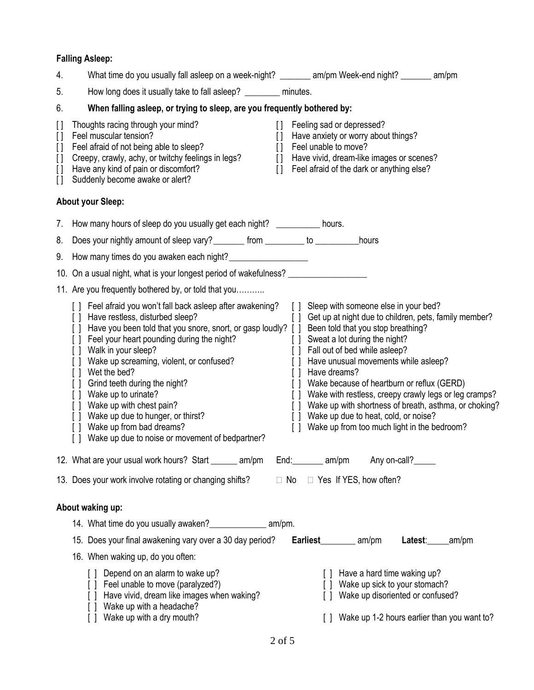### **Falling Asleep:**

| 4.                                                                                | What time do you usually fall asleep on a week-night? ________ am/pm Week-end night? _______ am/pm                                                                                                                                                                                                                                                                                                                                                                                                                                                                                                                                                                                                                                                                                                                                                                                                                                                                                                                                                                                                                          |  |  |  |  |
|-----------------------------------------------------------------------------------|-----------------------------------------------------------------------------------------------------------------------------------------------------------------------------------------------------------------------------------------------------------------------------------------------------------------------------------------------------------------------------------------------------------------------------------------------------------------------------------------------------------------------------------------------------------------------------------------------------------------------------------------------------------------------------------------------------------------------------------------------------------------------------------------------------------------------------------------------------------------------------------------------------------------------------------------------------------------------------------------------------------------------------------------------------------------------------------------------------------------------------|--|--|--|--|
| 5.                                                                                | How long does it usually take to fall asleep? _________ minutes.                                                                                                                                                                                                                                                                                                                                                                                                                                                                                                                                                                                                                                                                                                                                                                                                                                                                                                                                                                                                                                                            |  |  |  |  |
| 6.                                                                                | When falling asleep, or trying to sleep, are you frequently bothered by:                                                                                                                                                                                                                                                                                                                                                                                                                                                                                                                                                                                                                                                                                                                                                                                                                                                                                                                                                                                                                                                    |  |  |  |  |
| $[ \ ]$<br>$\mathbf{I}$<br>$\prod$<br>$\begin{bmatrix} 1 \end{bmatrix}$<br>$\Box$ | Thoughts racing through your mind?<br>Feeling sad or depressed?<br>$\prod$<br>Feel muscular tension?<br>Have anxiety or worry about things?<br>$\prod$<br>[] Feel unable to move?<br>[] Feel afraid of not being able to sleep?<br>Creepy, crawly, achy, or twitchy feelings in legs?<br>[] Have vivid, dream-like images or scenes?<br>Have any kind of pain or discomfort?<br>[] Feel afraid of the dark or anything else?<br>Suddenly become awake or alert?                                                                                                                                                                                                                                                                                                                                                                                                                                                                                                                                                                                                                                                             |  |  |  |  |
|                                                                                   | <b>About your Sleep:</b>                                                                                                                                                                                                                                                                                                                                                                                                                                                                                                                                                                                                                                                                                                                                                                                                                                                                                                                                                                                                                                                                                                    |  |  |  |  |
|                                                                                   | 7. How many hours of sleep do you usually get each night? __________ hours.                                                                                                                                                                                                                                                                                                                                                                                                                                                                                                                                                                                                                                                                                                                                                                                                                                                                                                                                                                                                                                                 |  |  |  |  |
|                                                                                   | 8. Does your nightly amount of sleep vary? ________ from _________ to __________hours                                                                                                                                                                                                                                                                                                                                                                                                                                                                                                                                                                                                                                                                                                                                                                                                                                                                                                                                                                                                                                       |  |  |  |  |
| 9.                                                                                | How many times do you awaken each night?                                                                                                                                                                                                                                                                                                                                                                                                                                                                                                                                                                                                                                                                                                                                                                                                                                                                                                                                                                                                                                                                                    |  |  |  |  |
|                                                                                   | 10. On a usual night, what is your longest period of wakefulness? _______________                                                                                                                                                                                                                                                                                                                                                                                                                                                                                                                                                                                                                                                                                                                                                                                                                                                                                                                                                                                                                                           |  |  |  |  |
|                                                                                   | 11. Are you frequently bothered by, or told that you                                                                                                                                                                                                                                                                                                                                                                                                                                                                                                                                                                                                                                                                                                                                                                                                                                                                                                                                                                                                                                                                        |  |  |  |  |
|                                                                                   | [] Sleep with someone else in your bed?<br>[] Feel afraid you won't fall back asleep after awakening?<br>[] Have restless, disturbed sleep?<br>[] Get up at night due to children, pets, family member?<br>[] Have you been told that you snore, snort, or gasp loudly? [] Been told that you stop breathing?<br>[ ] Feel your heart pounding during the night?<br>[ ] Sweat a lot during the night?<br>[ ] Fall out of bed while asleep?<br>[ ] Walk in your sleep?<br>[ ] Wake up screaming, violent, or confused?<br>[] Have unusual movements while asleep?<br>[] Wet the bed?<br>[] Have dreams?<br>[ ] Grind teeth during the night?<br>[] Wake because of heartburn or reflux (GERD)<br>[] Wake up to urinate?<br>[] Wake with restless, creepy crawly legs or leg cramps?<br>[] Wake up with chest pain?<br>Wake up with shortness of breath, asthma, or choking?<br>$\Box$<br>[] Wake up due to hunger, or thirst?<br>Wake up due to heat, cold, or noise?<br>$\Box$<br>[] Wake up from bad dreams?<br>Wake up from too much light in the bedroom?<br>$\Box$<br>[] Wake up due to noise or movement of bedpartner? |  |  |  |  |
|                                                                                   | 12. What are your usual work hours? Start ______ am/pm<br>End: am/pm<br>Any on-call?                                                                                                                                                                                                                                                                                                                                                                                                                                                                                                                                                                                                                                                                                                                                                                                                                                                                                                                                                                                                                                        |  |  |  |  |
|                                                                                   | 13. Does your work involve rotating or changing shifts?<br>$\Box$ No $\Box$ Yes If YES, how often?                                                                                                                                                                                                                                                                                                                                                                                                                                                                                                                                                                                                                                                                                                                                                                                                                                                                                                                                                                                                                          |  |  |  |  |
|                                                                                   | About waking up:                                                                                                                                                                                                                                                                                                                                                                                                                                                                                                                                                                                                                                                                                                                                                                                                                                                                                                                                                                                                                                                                                                            |  |  |  |  |
|                                                                                   | 14. What time do you usually awaken?<br><u> am/pm.</u>                                                                                                                                                                                                                                                                                                                                                                                                                                                                                                                                                                                                                                                                                                                                                                                                                                                                                                                                                                                                                                                                      |  |  |  |  |
|                                                                                   | 15. Does your final awakening vary over a 30 day period?<br>Earliest__________ am/pm<br>Latest: ______am/pm                                                                                                                                                                                                                                                                                                                                                                                                                                                                                                                                                                                                                                                                                                                                                                                                                                                                                                                                                                                                                 |  |  |  |  |
|                                                                                   | 16. When waking up, do you often:                                                                                                                                                                                                                                                                                                                                                                                                                                                                                                                                                                                                                                                                                                                                                                                                                                                                                                                                                                                                                                                                                           |  |  |  |  |
|                                                                                   | [] Depend on an alarm to wake up?<br>[ ] Have a hard time waking up?<br>Wake up sick to your stomach?<br>[] Feel unable to move (paralyzed?)<br>Have vivid, dream like images when waking?<br>Wake up disoriented or confused?<br>Wake up with a headache?<br>[] Wake up 1-2 hours earlier than you want to?<br>Wake up with a dry mouth?                                                                                                                                                                                                                                                                                                                                                                                                                                                                                                                                                                                                                                                                                                                                                                                   |  |  |  |  |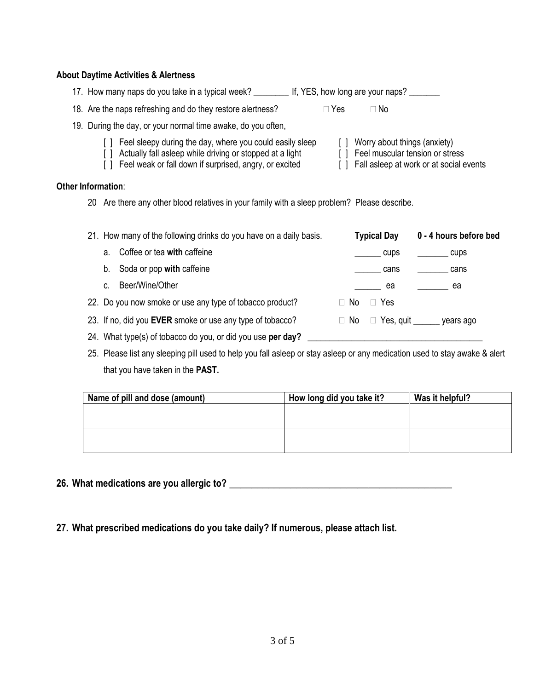#### **About Daytime Activities & Alertness**

| 17. How many naps do you take in a typical week? | . If, YES, how long are your naps? |
|--------------------------------------------------|------------------------------------|
|--------------------------------------------------|------------------------------------|

| 18. Are the naps refreshing and do they restore alertness? | $\Box$ Yes | $\Box$ No |
|------------------------------------------------------------|------------|-----------|
|------------------------------------------------------------|------------|-----------|

#### 19. During the day, or your normal time awake, do you often,

- [ ] Feel sleepy during the day, where you could easily sleep [ ] Worry about things (anxiety)
- [ ] Actually fall asleep while driving or stopped at a light [ ] Feel muscular tension or stress
- [] Feel weak or fall down if surprised, angry, or excited [] Fall asleep at work or at social events

#### **Other Information**:

20 Are there any other blood relatives in your family with a sleep problem? Please describe.

|    | 21. How many of the following drinks do you have on a daily basis. |           | <b>Typical Day</b> | 0 - 4 hours before bed       |
|----|--------------------------------------------------------------------|-----------|--------------------|------------------------------|
| a. | Coffee or tea with caffeine                                        |           | cups               | cups                         |
|    | b. Soda or pop with caffeine                                       |           | cans               | cans                         |
| C. | Beer/Wine/Other                                                    |           | ea                 | ea e                         |
|    | 22. Do you now smoke or use any type of tobacco product?           | $\Box$ No | Yes                |                              |
|    | 23. If no, did you EVER smoke or use any type of tobacco?          | $\Box$ No |                    | □ Yes, quit ______ years ago |
|    | 24. What type(s) of tobacco do you, or did you use per day?        |           |                    |                              |

25. Please list any sleeping pill used to help you fall asleep or stay asleep or any medication used to stay awake & alert that you have taken in the **PAST.**

| Name of pill and dose (amount) | How long did you take it? | Was it helpful? |  |  |
|--------------------------------|---------------------------|-----------------|--|--|
|                                |                           |                 |  |  |
|                                |                           |                 |  |  |
|                                |                           |                 |  |  |
|                                |                           |                 |  |  |

**26. What medications are you allergic to? \_\_\_\_\_\_\_\_\_\_\_\_\_\_\_\_\_\_\_\_\_\_\_\_\_\_\_\_\_\_\_\_\_\_\_\_\_\_\_\_**

**27. What prescribed medications do you take daily? If numerous, please attach list.**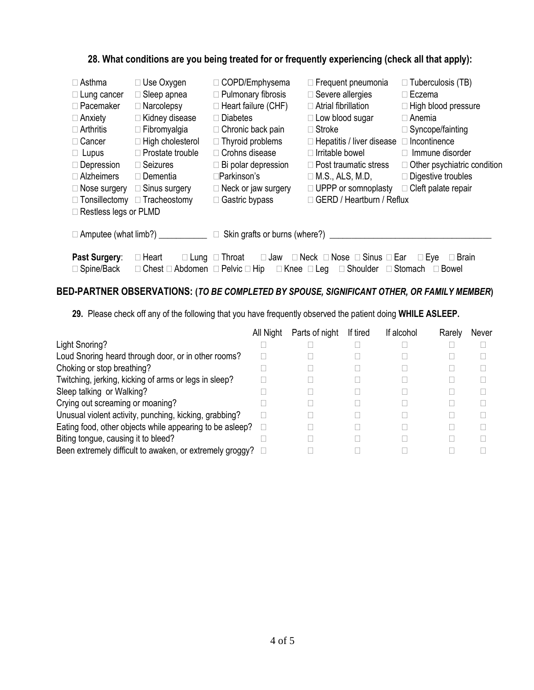#### **28. What conditions are you being treated for or frequently experiencing (check all that apply):**

| $\Box$ Asthma<br>$\Box$ Lung cancer<br>$\Box$ Pacemaker<br>$\Box$ Anxiety<br>$\Box$ Arthritis<br>□ Cancer<br>$\Box$ Lupus<br>$\Box$ Depression<br>$\Box$ Alzheimers<br>$\Box$ Nose surgery<br>$\Box$ Tonsillectomy<br>$\Box$ Restless legs or PLMD                                                              | $\Box$ Use Oxygen<br>Sleep apnea<br>$\Box$ Narcolepsy<br>□ Kidney disease<br>$\Box$ Fibromyalgia<br>$\Box$ High cholesterol<br>$\Box$ Prostate trouble<br>$\Box$ Seizures<br>$\Box$ Dementia<br>$\Box$ Sinus surgery<br>□ Tracheostomy | □ COPD/Emphysema<br>$\Box$ Pulmonary fibrosis<br>$\Box$ Heart failure (CHF)<br>$\Box$ Diabetes<br>$\Box$ Chronic back pain<br>$\Box$ Thyroid problems<br>$\Box$ Crohns disease<br>$\Box$ Bi polar depression<br>⊟Parkinson's<br>$\Box$ Neck or jaw surgery<br>□ Gastric bypass | $\Box$ Frequent pneumonia<br>$\Box$ Severe allergies<br>$\Box$ Atrial fibrillation<br>□ Low blood sugar<br>$\Box$ Stroke<br>$\Box$ Hepatitis / liver disease<br>$\Box$ Irritable bowel<br>$\Box$ Post traumatic stress<br>$\Box$ M.S., ALS, M.D,<br>$\Box$ UPPP or somnoplasty<br>GERD / Heartburn / Reflux | $\Box$ Tuberculosis (TB)<br>$\Box$ Eczema<br>$\Box$ High blood pressure<br>$\Box$ Anemia<br>$\Box$ Syncope/fainting<br>Incontinence<br>$\Box$ Immune disorder<br>$\Box$ Other psychiatric condition<br>$\Box$ Digestive troubles<br>$\Box$ Cleft palate repair |  |
|-----------------------------------------------------------------------------------------------------------------------------------------------------------------------------------------------------------------------------------------------------------------------------------------------------------------|----------------------------------------------------------------------------------------------------------------------------------------------------------------------------------------------------------------------------------------|--------------------------------------------------------------------------------------------------------------------------------------------------------------------------------------------------------------------------------------------------------------------------------|-------------------------------------------------------------------------------------------------------------------------------------------------------------------------------------------------------------------------------------------------------------------------------------------------------------|----------------------------------------------------------------------------------------------------------------------------------------------------------------------------------------------------------------------------------------------------------------|--|
|                                                                                                                                                                                                                                                                                                                 | □ Amputee (what limb?) ____________                                                                                                                                                                                                    | Skin grafts or burns (where?) _________<br>$\Box$                                                                                                                                                                                                                              |                                                                                                                                                                                                                                                                                                             |                                                                                                                                                                                                                                                                |  |
| Past Surgery:<br>$\Box$ Neck $\Box$ Nose $\Box$ Sinus $\Box$ Ear<br>$\Box$ Heart<br>$\square$ Eye<br>$\Box$ Lung $\Box$ Throat<br>$\square$ Jaw<br><b>Brain</b><br>□ Spine/Back<br>$\Box$ Knee $\Box$ Leg<br>Chest $\Box$ Abdomen $\Box$ Pelvic $\Box$ Hip<br>$\Box$ Shoulder<br>∣ Stomach<br>$\Box$ Bowel<br>П |                                                                                                                                                                                                                                        |                                                                                                                                                                                                                                                                                |                                                                                                                                                                                                                                                                                                             |                                                                                                                                                                                                                                                                |  |

#### **BED-PARTNER OBSERVATIONS: (***TO BE COMPLETED BY SPOUSE, SIGNIFICANT OTHER, OR FAMILY MEMBER***)**

**29.** Please check off any of the following that you have frequently observed the patient doing **WHILE ASLEEP.**

|                                                            | All Night | Parts of night | If tired | If alcohol | Rarely | Never |
|------------------------------------------------------------|-----------|----------------|----------|------------|--------|-------|
| Light Snoring?                                             |           |                |          |            |        |       |
| Loud Snoring heard through door, or in other rooms?        |           |                |          |            |        |       |
| Choking or stop breathing?                                 |           |                |          |            |        |       |
| Twitching, jerking, kicking of arms or legs in sleep?      |           |                |          |            |        |       |
| Sleep talking or Walking?                                  |           |                |          |            |        |       |
| Crying out screaming or moaning?                           |           |                |          |            |        |       |
| Unusual violent activity, punching, kicking, grabbing?     |           |                |          |            |        |       |
| Eating food, other objects while appearing to be asleep?   |           |                |          |            |        |       |
| Biting tongue, causing it to bleed?                        |           |                |          |            |        |       |
| Been extremely difficult to awaken, or extremely groggy? □ |           |                |          |            |        |       |